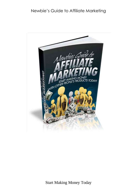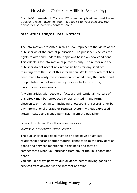This is NOT a free eBook. You do NOT have the right either to sell this ebook or to give it away for free. This eBook is for your own use. You cannot sell or share the content herein.

#### **DISCLAIMER AND/OR LEGAL NOTICES:**

The information presented in this eBook represents the views of the publisher as of the date of publication. The publisher reserves the rights to alter and update their opinions based on new conditions. This eBook is for informational purposes only. The author and the publisher do not accept any responsibilities for any liabilities resulting from the use of this information. While every attempt has been made to verify the information provided here, the author and the publisher cannot assume any responsibility for errors, inaccuracies or omissions.

Any similarities with people or facts are unintentional. No part of this eBook may be reproduced or transmitted in any form, electronic, or mechanical, including photocopying, recording, or by any informational storage or retrieval system without expressed written, dated and signed permission from the publisher.

Pursuant to the Federal Trade Commission Guidelines:

#### MATERIAL CONNECTION DISCLOSURE:

The publisher of this book may be or does have an affiliate relationship and/or another material connection to the providers of goods and services mentioned in this book and may be compensated when you purchase from any of the links contained herein.

You should always perform due diligence before buying goods or services from anyone via the Internet or offline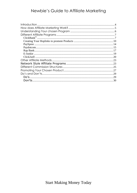|        | .27 |
|--------|-----|
|        | 29  |
| $Do's$ | .29 |
|        | .30 |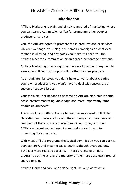### **Introduction**

<span id="page-3-0"></span>Affiliate Marketing is plain and simply a method of marketing where you can earn a commission or fee for promoting other peoples products or services.

You, the Affiliate agree to promote those products and or services via your webpage, your blog, your email campaigns or what ever method is allowed, and any sales you make will earn you the Affiliate a set fee / commission or an agreed percentage payment.

Affiliate Marketing if done right can be very lucrative, many people earn a good living just by promoting other peoples products.

As an Affiliate Marketer, you don't have to worry about creating your own product and you won't have to deal with customers or customer support issues.

Your main skill set needed to become an Affiliate Marketer is some basic internet marketing knowledge and more importantly "*the desire to succeed"*

There are lots of different ways to become successful at Affiliate Marketing and there are lots of different programs, merchants and vendors out there who are more than willing to pay you their Affiliate a decent percentage of commission over to you for promoting their products.

With most affiliate programs the typical commission you can earn is between 30% and in some cases 100% although averaged out, 50% is a more realistic baseline. There are lots of affiliate programs out there, and the majority of them are absolutely free of charge to join.

Affiliate Marketing can, when done right, be very worthwhile.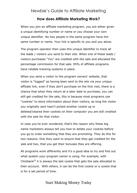### **How does Affiliate Marketing Work?**

<span id="page-4-0"></span>When you join an affiliate marketing program, you are either given a unique identifying number or name or you choose your own unique identifier. No two people in the same program have the same number or name. Your link is specific to you and you alone.

The program operator then uses this unique identifier to track all the leads / visitors you send to their site. When one of these leads / visitors purchases "You" are credited with the sale and allocated the percentage commission for that sale. 95% of affiliate programs have reliable tracking systems in place.

When you send a visitor to the program owners' website, that visitor is "logged" as having been sent to the site via your unique affiliate link, even if they don't purchase on the first visit, there is a chance that when they return at a later date to purchase, you can still get credited for the sale, this is because most programs use "cookies" to store information about their visitors, as long the visitor you originally sent hasn't picked another cookie up or deleted/cleared their cookies on their computer you are still credited with the sale for that visitor.

In case you've ever wondered, that's the reason why these big name marketers always tell you how to delete your cookies before you go to order something that they are promoting. They do this for two reasons. One they want to ensure that they get credited for the sale and two, that you get their bonuses they are offering.

All programs work differently and it's a good idea to try and find out what system your program owner is using. For example, with Clickbank® it is always the last cookie that gets the sale allocated to their account. With others, it can be the first cookie or a cookie that is for a set period of time.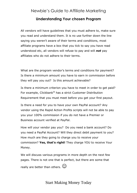### **Understanding Your chosen Program**

<span id="page-5-0"></span>All vendors will have guidelines that you must adhere to, make sure you read and understand them. It is no use further down the line saying you weren't aware of their terms and conditions, most affiliate programs have a box that you tick to say you have read understood etc, all vendors will refuse to pay and will *not* pay affiliates who do not adhere to their terms.

What are the program vendor's terms and conditions for payment? Is there a minimum amount you have to earn in commission before they will pay you out? Is this amount achievable?

Is there a minimum criterion you have to meet in order to get paid? For example, Clickbank® has a strict Customer Distribution Requirement that you must meet before you get your first payout.

Is there a need for you to have your own PayPal account? Any vendor using the Rapid Action Profits scripts will not be able to pay you your 100% commission if you do not have a Premier or Business account verified at PayPal.

How will your vendor pay you? Do you need a bank account? Do you need a PayPal Account? Will they direct debit payment to you? How much are they going to charge you to receive your commission? **Yes, that's right!** They charge YOU to receive Your Money.

We will discuss various programs in more depth on the next few pages. There is not one that is perfect, but there are some that really are better than others.  $\odot$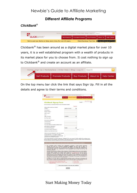## **Different Affiliate Programs**

### <span id="page-6-1"></span><span id="page-6-0"></span>*ClickBank®*



Clickbank® has been around as a digital market place for over 10 years, it is a well established program with a wealth of products in its market place for you to choose from. It cost nothing to sign up to Clickbank® and create an account as an affiliate.



On the top menu bar click the link that says Sign Up. Fill in all the details and agree to their terms and conditions.

| CKRANI                                                                                                                                                                                                                                                                                                                                                                                                                                                                                                                                                                                                                                                                                                                  | Sell Products<br><b>Proincte Products</b>          |                                                       | <b>Buy Products</b><br>Help Center<br>About Us |
|-------------------------------------------------------------------------------------------------------------------------------------------------------------------------------------------------------------------------------------------------------------------------------------------------------------------------------------------------------------------------------------------------------------------------------------------------------------------------------------------------------------------------------------------------------------------------------------------------------------------------------------------------------------------------------------------------------------------------|----------------------------------------------------|-------------------------------------------------------|------------------------------------------------|
|                                                                                                                                                                                                                                                                                                                                                                                                                                                                                                                                                                                                                                                                                                                         |                                                    |                                                       |                                                |
|                                                                                                                                                                                                                                                                                                                                                                                                                                                                                                                                                                                                                                                                                                                         |                                                    |                                                       | Aide 2 Hilfe / Ayuda                           |
| <b>ClickBank Signup Form</b>                                                                                                                                                                                                                                                                                                                                                                                                                                                                                                                                                                                                                                                                                            |                                                    |                                                       | English<br>$\omega$                            |
| Use your mouse, or tab and shift tab to move from blank to blank.                                                                                                                                                                                                                                                                                                                                                                                                                                                                                                                                                                                                                                                       |                                                    |                                                       |                                                |
|                                                                                                                                                                                                                                                                                                                                                                                                                                                                                                                                                                                                                                                                                                                         |                                                    | <sup>+</sup> Required                                 |                                                |
| Where shall we send your checks?<br>Country:"                                                                                                                                                                                                                                                                                                                                                                                                                                                                                                                                                                                                                                                                           | UNITED STATES                                      | ۰                                                     |                                                |
| Payee Name:"                                                                                                                                                                                                                                                                                                                                                                                                                                                                                                                                                                                                                                                                                                            |                                                    |                                                       |                                                |
| Street / PO Box:"                                                                                                                                                                                                                                                                                                                                                                                                                                                                                                                                                                                                                                                                                                       |                                                    |                                                       |                                                |
| Suite or Apt #:                                                                                                                                                                                                                                                                                                                                                                                                                                                                                                                                                                                                                                                                                                         |                                                    |                                                       |                                                |
| City:"                                                                                                                                                                                                                                                                                                                                                                                                                                                                                                                                                                                                                                                                                                                  |                                                    |                                                       |                                                |
| State / Province:                                                                                                                                                                                                                                                                                                                                                                                                                                                                                                                                                                                                                                                                                                       | <b>ALARAMA</b>                                     | ۰                                                     |                                                |
| Zip / Post Code:"                                                                                                                                                                                                                                                                                                                                                                                                                                                                                                                                                                                                                                                                                                       |                                                    |                                                       |                                                |
|                                                                                                                                                                                                                                                                                                                                                                                                                                                                                                                                                                                                                                                                                                                         |                                                    |                                                       |                                                |
| How can we contact you?                                                                                                                                                                                                                                                                                                                                                                                                                                                                                                                                                                                                                                                                                                 |                                                    |                                                       |                                                |
| Your first name:"                                                                                                                                                                                                                                                                                                                                                                                                                                                                                                                                                                                                                                                                                                       |                                                    |                                                       |                                                |
| Your last name:"                                                                                                                                                                                                                                                                                                                                                                                                                                                                                                                                                                                                                                                                                                        |                                                    |                                                       |                                                |
| Your email address (example: joe@aol.com):"                                                                                                                                                                                                                                                                                                                                                                                                                                                                                                                                                                                                                                                                             |                                                    |                                                       |                                                |
| Email address confirmation:"                                                                                                                                                                                                                                                                                                                                                                                                                                                                                                                                                                                                                                                                                            |                                                    |                                                       |                                                |
| Your preferred language:"<br>Your phone number (required!):"                                                                                                                                                                                                                                                                                                                                                                                                                                                                                                                                                                                                                                                            | English                                            | ×                                                     | ext:                                           |
|                                                                                                                                                                                                                                                                                                                                                                                                                                                                                                                                                                                                                                                                                                                         |                                                    |                                                       |                                                |
| Address of your Web site (if any):                                                                                                                                                                                                                                                                                                                                                                                                                                                                                                                                                                                                                                                                                      |                                                    |                                                       |                                                |
| Select an account nickname for your new account.                                                                                                                                                                                                                                                                                                                                                                                                                                                                                                                                                                                                                                                                        |                                                    |                                                       |                                                |
| Account Nickname # (5-10 letters & digita):"                                                                                                                                                                                                                                                                                                                                                                                                                                                                                                                                                                                                                                                                            |                                                    |                                                       |                                                |
| Check here to receive targeted, account specific<br>promotions from ClickBank vis email:                                                                                                                                                                                                                                                                                                                                                                                                                                                                                                                                                                                                                                |                                                    |                                                       |                                                |
| # the account nickname you choose will be the "ClickBank ID" for your account. It will be visible to the customer every<br>time we sell one of your products, and will appear on the memo line when we send you a check. Keep in mind that the<br>account nickhame cannot be changed once your account has been opened.                                                                                                                                                                                                                                                                                                                                                                                                 |                                                    |                                                       |                                                |
|                                                                                                                                                                                                                                                                                                                                                                                                                                                                                                                                                                                                                                                                                                                         |                                                    |                                                       |                                                |
| Client Contract - Please read the client contract below and accept the terms and conditions.                                                                                                                                                                                                                                                                                                                                                                                                                                                                                                                                                                                                                            |                                                    |                                                       | ×<br>'n                                        |
| 1. This CLIOSRAW, CLIERT CONTRACT (the "Accordinate") constitutions a logally binding agreement. The DOS STATE of the DOS STATE (the DOS STATE REPAIRS) CHECK CHARGED CONSTRUCTIONS OF THE DOS STATE (THE THIS STATE REPAIRS)<br>BOUND BY THE TERMS AND CONDITIONS OF THIS AGREEMENT FOR AS LONG AS YOU USE THE<br>CLICKBANK SERVICES.                                                                                                                                                                                                                                                                                                                                                                                  |                                                    |                                                       |                                                |
| Subject to the terms and conditions of this Agreement. ClickBank hereby grants to You a non-exclusive,<br>revocable, right and license, without right to sublicense, to use ClickBank's proprietary online platform,<br>including without limitation the website made available at www.clickbank.com, and any servers.<br>computers or networks used to provide such website (the "ClickBank Services") for the following<br>Imited purposes, if and as applicable, INCLUDING ANY CHANGES TO THIS AGREEMENT OR ADDITIONAL<br>POLICIES INCORPORATED BY REFERENCE WHICH CLICKBANK MAY MAKE IN ITS SOLE DISCRETION IN<br>THE FUTURE. In the event you transfer your account or ownership of any product, any purchasers or |                                                    |                                                       |                                                |
| assignees are bound by the terms of this Agreement.<br>In addition to any other rights or remedies afforded ClickBank under or otherwise in connection with<br>this Contract, You agree and acknowledge that You have read and agree to comply with the following<br>policies which are hereby incorporated by reference into, and made a part of, this Agreement:                                                                                                                                                                                                                                                                                                                                                      |                                                    |                                                       |                                                |
| . Vendor and Products Requirements Policy                                                                                                                                                                                                                                                                                                                                                                                                                                                                                                                                                                                                                                                                               |                                                    | · Privacy Policy                                      |                                                |
| - Digital Millennium Copyright Act ("DMCA") and<br>Trademark Policy                                                                                                                                                                                                                                                                                                                                                                                                                                                                                                                                                                                                                                                     |                                                    | - Security Policy<br><b>Blackmark</b> , Alexand, Ball |                                                |
|                                                                                                                                                                                                                                                                                                                                                                                                                                                                                                                                                                                                                                                                                                                         | I have read and agree to the terms and conditions. |                                                       |                                                |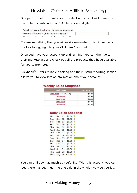One part of their form asks you to select an account nickname this has to be a combination of 5-10 letters and digits.



Choose something that you will easily remember, this nickname is the key to logging into your Clickbank<sup>®</sup> account.

Once you have your account up and running, you can then go to their marketplace and check out all the products they have available for you to promote.

Clickbank® Offers reliable tracking and their useful reporting section allows you to view lots of information about your account.

| <b>Weekly Sales Snapshot</b> |                    |
|------------------------------|--------------------|
| <b>Week Ending</b>           | <b>Gross Sales</b> |
| 2010-09-15 (current week)    | \$0.00             |
| 2010-09-08                   | \$3.93             |
| 2010-09-01                   | \$0.00             |

#### 2010-08-18

2010-08-25

 $$0.00$ 

 $$0.00$ 

|     |     |    |        | <b>Daily Sales Snapshot</b> |
|-----|-----|----|--------|-----------------------------|
| Mon | Sep | 13 | \$0.00 |                             |
| Sun | Sep | 12 | \$0.00 | I                           |
| Sat | Sep | 11 | \$0.00 |                             |
| Fri | Sep | 10 | \$0.00 | 1                           |
| Thu | Sep | 09 | \$0.00 |                             |
| Wed | Sep | 08 | \$0.00 | I                           |
| Tue | Sep | 07 | \$0.00 |                             |
| Mon | Sep | 06 | \$0.00 |                             |
| Sun | Sep | 05 | \$3.93 |                             |
| Sat | Sep | 04 | \$0.00 | I                           |
| Fri | Sep | 03 | \$0.00 |                             |
| Thu | Sep | 02 | \$0.00 | I                           |
| Wed | Sep | 01 | \$0.00 |                             |
| Tue | Aug | 31 | \$0.00 | ı                           |
| Mon | Aug | 30 | \$0.00 |                             |

You can drill down as much as you'd like. With this account, you can see there has been just the one sale in the whole two week period.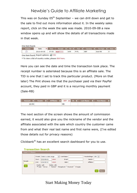This was on Sunday  $05<sup>th</sup>$  September – we can drill down and get to the sale to find out more information about it. In the weekly sales report, click on the week the sale was made. 2010-09-08 a new window opens up and will show the details of all transactions made in that week.

| <b>Actions</b> | Date       | <b>Time</b> |          | Receipt $\frac{1}{2}$ TID $\frac{1}{2}$ Pmt $\frac{1}{2}$ |      |     | Currency $\frac{1}{2}$ Txn Type $\frac{1}{2}$ Item $\frac{1}{2}$ |  |
|----------------|------------|-------------|----------|-----------------------------------------------------------|------|-----|------------------------------------------------------------------|--|
| 2              | 2010-09-05 | 07:53       | WOP***** | <b>WAR</b>                                                | PYPL | GBP | Sale-RB                                                          |  |

Here you can see the date and time the transaction took place. The receipt number is asterisked because this is an affiliate sale. The TID is one that I set to track this particular product. (More on that later) The Pmt shows me that the purchaser paid via their PayPal account, they paid in GBP and it is a recurring monthly payment (Sale-RB)

|  |    |  | Amount $\frac{1}{\epsilon}$ Vendor $\frac{1}{\epsilon}$ Affiliate $\frac{1}{\epsilon}$ CC <sup>#</sup> $\frac{1}{\epsilon}$ St. $\frac{1}{\epsilon}$ Last Name $\frac{1}{\epsilon}$ First Name $\frac{1}{\epsilon}$ |
|--|----|--|---------------------------------------------------------------------------------------------------------------------------------------------------------------------------------------------------------------------|
|  | GB |  |                                                                                                                                                                                                                     |

The next section of the screen shows the amount of commission earned, it would also give you the nickname of the vendor and the affiliate associated with the sale which country the customer came from and what their real last name and first name were, (I've edited those details out for privacy reasons)

Clickbank® has an excellent search dashboard for you to use.

|          |               | Preset: Select a date range | $\overline{\phantom{a}}$ | Last Name:                                                                                                | Results/Page: 100 - |
|----------|---------------|-----------------------------|--------------------------|-----------------------------------------------------------------------------------------------------------|---------------------|
|          | Start:        | 2010-09-01                  | select                   | Email:                                                                                                    | Vendor:             |
| Receipt: | End:          | 2010-09-07                  | select                   | Item:                                                                                                     | Affiliate:          |
| Go       | Credits (all) |                             | Debits (all)             | $\triangledown$ Sale $\sqcap$ Bonus $\sqcap$ Refund $\sqcap$ Chargeback $\sqcap$ Bounced $\sqcap$ Charges |                     |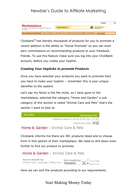

Clickbank® has literally thousands of products for you to promote a recent addition is the ability to "Social Promote" so you can even earn commissions on recommending products to your Facebook friends. To use this feature make sure you log into your ClickBank account, before you create your hoplink.

#### <span id="page-9-0"></span>*Creating Your Hoplinks to promote Products*

Once you have selected your products you want to promote then you have to make your hoplink – remember this is your unique identifier to the system.

Let's say my Niche is the Pet niche, so I have gone to the marketplace, selected the category "Home and Garden" a sub category of this section is called "Animal Care and Pets" that's the section I want to look at.



#### Home & Garden: Animal Care & Pets

Clickbank informs me there are 381 products listed and to choose from in this section of their marketplace. We need to drill down even further to find our product to promote.

#### Home & Garden: Animal Care & Pets



Here we can sort the products according to our requirements.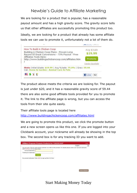We are looking for a product that is popular, has a reasonable payout amount and has a high gravity score. The gravity score tells us that other affiliates are successfully promoting this product too.

Ideally, we are looking for a product that already has some affiliate tools we can use to promote it, unfortunately not a lot of them do.



The product above meets the criteria we are looking for. The payout is just under \$20, and it has a reasonable gravity score of 59.44 there are also some good affiliate tools provided for you to promote it. The link to the affiliate page is wrong, but you can access the tools from their site quite easily.

Their affiliate tools page is located here

<http://www.buildingachickencoop.com/affiliates.html>

We are going to promote this product, we click the promote button and a new screen opens us like this one. If you are logged into your Clickbank account, your nickname will already be showing in the top box. The second box is for any tracking ID you want to add.

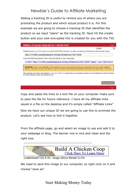Adding a tracking ID is useful to remind you of where you are promoting the product and which actual product it is. For this example we are going to choose a tracking ID that identifies the product so we input "plans" as the tracking ID. Next hit the create button and your new encrypted link is created for you with the TID.

|                                                                                                                                                                                                                                                               | English |
|---------------------------------------------------------------------------------------------------------------------------------------------------------------------------------------------------------------------------------------------------------------|---------|
| ClickBank pays you 75% when you sell CHICKCOOP's product. To refer a customer send them to this domain name:                                                                                                                                                  |         |
| http://1110b9u-gmxj4mebgan8sd-a64.hop.clickbank.net/?tid=PLANS                                                                                                                                                                                                |         |
| Copy the following HopLink HTML code and add it to your web page:                                                                                                                                                                                             |         |
| <a href="http://1110b9u-gmxj4mebgan8sd-a64.hop.clickbank.net/?tid=PLANS" target=" top">Click Here!&lt;</a>                                                                                                                                                    |         |
| <b>WARNING:</b> Due to the possibility of transcription errors, we recommend copying the HopLink from this page instead of<br>typing it manually. To copy the HopLink, click on the text of the HopLink and either right click and select copy or hit Ctrl-C. |         |
| This HopLink has been encrypted by HopLink Shield. It represents an encrypted version of the traditional HopLink format<br>of http://affiliate.vendor.hop.clickbank.net.                                                                                      |         |
|                                                                                                                                                                                                                                                               |         |

Copy and paste the links to a text file on your computer make sure to save the file for future reference. I have all my affiliate links saved in a file on the desktop and it's simply called "Affiliate Links" Now we have our unique ID we are going to use this to promote the product. Let's see how to knit it together.

From the affiliate page, go and select an image to use and add it to your webpage or blog. The banner one is nice and clean and the right size.



Leaderboard 728 X 90 - Image Above Shrunk To Fit

We need to save this image to our computer, so right click on it and choose "save as".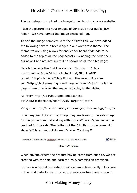The next step is to upload the image to our hosting space / website.

Place the picture into your images folder inside your public html folder. We have named the image chickens3.jpg.

To add the image complete with the affiliate link, we have added the following text to a text widget in our wordpress theme. The theme we are using allows for one leader board style add to be added to the top of all the pages/posts. By adding the code there, our advert and affiliate link will be shown on all the sites pages.

Here is the code the first line  $\langle a \rangle$  href="http://1110b9ugmxj4mebqan8sd-a64.hop.clickbank.net/?tid=PLANS" target="\_top"> is our affiliate link and the second line <img src="http://chickenrearing.com/images/chickens3.jpg"> tells the page where to look for the image to display to the visitor.

```
<a href="http://1110b9u-gmxj4mebqan8sd-
a64.hop.clickbank.net/?tid=PLANS" target=" top">
```
<img src="http://chickenrearing.com/images/chickens3.jpg"></a>

When anyone clicks on that image they are taken to the sales page for the product and take along with it our affiliate ID, so we can get credited for the sale. The bottom of the ClickBank order form will show [affiliate= your clickbank ID. Your Tracking ID.



[affiliate = js33ukms.plans]

When anyone orders the product having come from our site, we get credited with the sale and earn the 75% commission promised.

If there is a refund requested, their system automatically takes care of that and deducts any awarded commissions from your account.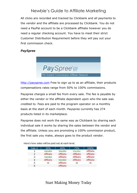All clicks are recorded and tracked by Clickbank and all payments to the vendor and the affiliate are processed by Clickbank. You do not need a PayPal account to be a Clickbank affiliate however you do need a regular checking account. You have to meet their strict Customer Distribution Requirement before they will pay out your first commission check.

#### <span id="page-13-0"></span>*PaySpree*



[http://payspree.com](http://payspree.com/) Free to sign up to as an affiliate, their products compensations rates range from 50% to 100% commissions.

Payspree charges a small fee from every sale. The fee is payable by either the vendor or the affiliate dependant upon who the sale was credited to. Fees are paid to the program operator on a monthly basis at the start of each month. Payspree currently has 274 products listed in its marketplace.

Payspree does not work the same way as Clickbank by sharing each individual sale it works by sharing the sales between the vendor and the affiliate. Unless you are promoting a 100% commission product, the first sale you make, always goes to the product vendor.

| Sale #         | 50%       | 60%       | 75%       | 100%      |
|----------------|-----------|-----------|-----------|-----------|
|                | Vendor    | Vendor    | Vendor    | Affiliate |
| $\overline{2}$ | Affiliate | Affiliate | Affiliate | Affiliate |
| з              | Vendor    | Affiliate | Affiliate | Affiliate |
| 4              | Affiliate | Vendor    | Affiliate | Affiliate |
| 5              | $\infty$  | Affiliate | $\infty$  | $\infty$  |
| 6              |           | Affiliate |           |           |

Here's how sales will be paid out at each level.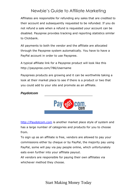Affiliates are responsible for refunding any sales that are credited to their account and subsequently requested to be refunded. If you do not refund a sale when a refund is requested your account can be disabled. Payspree provides tracking and reporting statistics similar to Clickbank.

All payments to both the vendor and the affiliate are allocated through the Payspree system automatically. You have to have a PayPal account in order to use Payspree.

A typical affiliate link for a Payspree product will look like this http://payspree.com/786/Username

Paysprees products are growing and it can be worthwhile taking a look at their market place to see if there is a product or two that you could add to your site and promote as an affiliate.

#### <span id="page-14-0"></span>*Paydotcom*



[http://Paydotcom.com](http://paydotcom.com/) is another market place style of system and has a large number of categories and products for you to choose from.

To sign up as an affiliate is free, vendors are allowed to pay your commissions either by cheque or by PayPal, the majority pay using PayPal, some will pay via pay people online, which unfortunately eats even further into your affiliate payout.

All vendors are responsible for paying their own affiliates via whichever method they choose.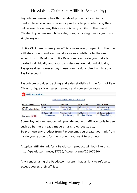Paydotcom currently has thousands of products listed in its marketplace. You can browse for products to promote using their online search system; this system is very similar to the one at Clickbank you can search by categories, subcategories or just by a single keyword.

Unlike Clickbank where your affiliate sales are grouped into the one affiliate account and each vendors sales contribute to the one account, with Paydotcom, like Payspree, each sale you make is treated individually and your commissions are paid individually, Payspree does however pay these commissions directly into your PayPal account.

Paydotcom provides tracking and sales statistics in the form of Raw Clicks, Unique clicks, sales, refunds and conversion rates.

| <b>WAffiliate sales:</b>                    |                               |                               |                               |                                   |  |  |  |  |
|---------------------------------------------|-------------------------------|-------------------------------|-------------------------------|-----------------------------------|--|--|--|--|
| View All My Affiliate Sales In Last 30 Days |                               |                               |                               |                                   |  |  |  |  |
| <b>Product Name:</b>                        | Today:                        | Yesterday:                    | Last 7 days:                  | Last 30 days:                     |  |  |  |  |
| Totals:<br>for all products below           | Aff Sales: \$0<br>See details | Aff Sales: \$0<br>See details | Aff Sales: \$0<br>See details | Aff Sales: \$12<br>See details    |  |  |  |  |
| Unit price: \$27.00                         | Aff Sales: \$0<br>See details | Aff Sales: \$0<br>See details | Aff Sales: \$0<br>See details | Aff Sales: \$12.00<br>See details |  |  |  |  |

Some Paydotcom vendors will provide you with affiliate tools to use such as Banners, ready made emails, blog posts, etc,

To promote any product from Paydotcom, you create your link from inside your account for the product you want to promote.

A typical affiliate link for a Paydotcom product will look like this. http://paydotcom.net/r/87756/AccountName/26107650/

Any vendor using the Paydotcom system has a right to refuse to accept you as their affiliate.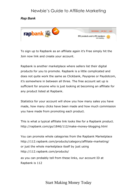#### <span id="page-16-0"></span>*Rap Bank*



To sign up to Rapbank as an affiliate again it's Free simply hit the Join now link and create your account.

Rapbank is another marketplace where sellers list their digital products for you to promote. Rapbank is a little complicated and does not quite work the same as Clickbank, Payspree or Paydotcom, it's somewhere in between all three. The free account set up is sufficient for anyone who is just looking at becoming an affiliate for any product listed at Rapbank.

Statistics for your account will show you how many sales you have made, how many clicks have been made and how much commission you have made from promoting each product.

This is what a typical affiliate link looks like for a Rapbank product. http://rapbank.com/go/1846/112/make-money-blogging.html

You can promote whole categories from the Rapbank Marketplace http://112.rapbank.com/products/category/affiliate-marketing/ or just the whole marketplace itself by just using http://112.rapbank.com/products/

as you can probably tell from these links, our account ID at Rapbank is 112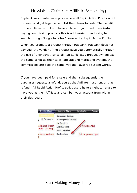Rapbank was created as a place where all Rapid Action Profits script owners could get together and list their items for sale. The benefit to the affiliates is that you have a place to go to find these instant paying commission products this is a lot easier than having to search through Google for sites "powered by Rapid Action Profits".

When you promote a product through Rapbank, Rapbank does not pay you, the vendor of the product pays you automatically through the use of their script, since all Rap Bank listed product owners use the same script as their sales, affiliate and marketing system, the commissions are paid the same way the Payspree system works.

If you have been paid for a sale and then subsequently the purchaser requests a refund, you as the Affiliate must honour that refund. All Rapid Action Profits script users have a right to refuse to have you as their Affiliate and can ban your account from within their dashboard.

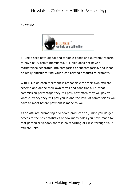#### <span id="page-18-0"></span>*E-Junkie*



E-junkie sells both digital and tangible goods and currently reports to have 8500 active merchants. E-junkie does not have a marketplace separated into categories or subcategories, and it can be really difficult to find your niche related products to promote.

With E-junkie each merchant is responsible for their own affiliate scheme and define their own terms and conditions, i.e. what commission percentage they will pay, how often they will pay you, what currency they will pay you in and the level of commissions you have to meet before payment is made to you.

As an affiliate promoting a vendors product at e-junkie you do get access to the basic statistics of how many sales you have made for that particular vendor, there is no reporting of clicks through your affiliate links.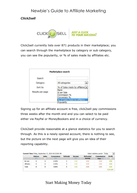#### <span id="page-19-0"></span>*Click2sell*



Click2sell currently lists over 871 products in their marketplace; you can search through the marketplace by category or sub category, you can see the popularity, or % of sales made by affiliates etc.

|                  | Marketplace search                                  |  |
|------------------|-----------------------------------------------------|--|
| Search           |                                                     |  |
| Category         | All categories                                      |  |
| Sort by          | % of Sales made by affiliates -                     |  |
| Results per page | Rank<br>\$ per Sale<br>Commission %<br>Conversion % |  |
|                  | % of Sales made by affiliates<br>Popularity         |  |

Signing up for an affiliate account is free, click2sell pay commissions three weeks after the month end and you can select to be paid either via PayPal or MoneyBookers and in a choice of currency.

Click2sell provide reasonable at a glance statistics for you to search through. As this is a newly opened account, there is nothing to see, but the picture on the next page will give you an idea of their reporting capability.

|                   | <b>Visitors</b><br>[2] | <b>Sales</b><br>E | <b>Conversions</b><br>$[?]$ | <b>Refunds</b> | <b>Income</b><br>[?] | <b>Refunded</b><br>money | <b>Commissions</b><br>Fees <sup>[2]</sup> | <b>Profit</b> |
|-------------------|------------------------|-------------------|-----------------------------|----------------|----------------------|--------------------------|-------------------------------------------|---------------|
| My own            | 0                      | $\overline{0}$    | 0.00%                       | $\mathbf{0}$   | 0.00                 | 0.00                     | 0.00                                      | 0.00          |
| <b>Affiliates</b> | $\overline{0}$         | $\overline{0}$    | 0.00%                       | $\mathbf{0}$   | 0.00                 | 0.00                     | 0.00                                      | 0.00          |
| <b>Total</b>      | $\bf{0}$               | $\bf{0}$          | 0.00%                       | $\bf{0}$       | 0.00                 | 0.00                     | 0.00                                      | 0.00          |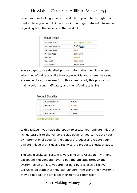When you are looking at which products to promote through their marketplace you can click on more info and get detailed information regarding both the seller and the product.

| Merchant Name:     | Ebiz Depot (contact) |
|--------------------|----------------------|
| Merchant Pays Via: | PayPal               |
| Merchant Rank:     | 0.0%                 |
| Product Price:     | 29.99 USD            |
| Earn %:            | 50.00%               |
| Earn USD:          | <b>15.00 USD</b>     |
| Date Added:        | 22-04-2009           |

You also get to see detailed product information how it converts, what the refund rate is like how popular it is and where the sales are made. As you can see from this screen shot, this product is mainly sold through affiliates; and the refund rate is 8%

#### **Product Statistics**

| 121 | Conversion %:      | 0.62%  |  |
|-----|--------------------|--------|--|
| 121 | Refund %:          | 8.00%  |  |
| 121 | Affiliate Sales %: | 91.00% |  |
| 121 | Popularity:        | 2.18%  |  |

Create affiliate link

With click2sell, you have the option to create your affiliate link that will go straight to the vendors' sales page, or you can create your own promotional page for the vendors' product and create your affiliate link so that it goes directly to the products checkout page.

The whole click2sell system is very similar to Clickbank, with one exception; the vendors have to pay the affiliates through the system, as an affiliate you are not paid by click2sell directly. Click2sell do state that they ban vendors from using their system if they do not pay the affiliates their rightful commission.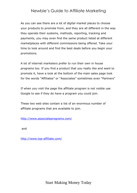As you can see there are a lot of digital market places to choose your products to promote from, and they are all different in the way they operate their systems, methods, reporting, tracking and payments, you may even find the same product listed at different marketplaces with different commissions being offered. Take your time to look around and find the best deals before you begin your promotions.

A lot of internet marketers prefer to run their own in house programs too. If you find a product that you really like and want to promote it, have a look at the bottom of the main sales page look for the words "Affiliates" or "Associates" sometimes even "Partners"

If when you visit the page the affiliate program is not visible use Google to see if they do have a program you could join.

These two web sites contain a list of an enormous number of affiliate programs that are available to join.

<http://www.associateprograms.com/>

and

<http://www.top-affiliate.com/>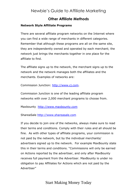### **Other Affiliate Methods**

#### <span id="page-22-1"></span><span id="page-22-0"></span>**Network Style Affiliate Programs**

There are several affiliate program networks on the Internet where you can find a wide range of merchants in different categories. Remember that although these programs are all on the same site, they are independently owned and operated by each merchant; the network just brings the merchants together in one place for the affiliate to find.

The affiliate signs up to the network, the merchant signs up to the network and the network manages both the affiliates and the merchants. Examples of networks are:

Commission Junction: [http://www.cj.com.](http://www.cj.com/)

Commission Junction is one of the leading affiliate program networks with over 2,000 merchant programs to choose from.

Maxbounty [http://www.maxbounty.com](http://www.maxbounty.com/)

ShareaSale [http://www.shareasale.com](http://www.shareasale.com/)

If you decide to join one of the networks, always make sure to read their terms and conditions. Comply with their rules and all should be fine. As with other types of affiliate programs, your commission is not paid by the network, but by the individual merchants/ advertisers signed up to the network. For example MaxBounty state this in their terms and conditions. "Commissions will only be earned on Actions reported by the advertiser, and only after MaxBounty receives full payment from the Advertiser. MaxBounty is under no obligation to pay Affiliates for Actions which are not paid by the Advertiser"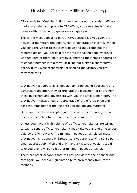CPA stands for "Cost Per Action", and compared to standard affiliate marketing, when you promote CPA offers, you can actually make money without having to generate a single sale.

This is the most appealing part of CPA because it gives even the newest of marketers the opportunity to generate an income. When you send the visitor to the clients page and they complete the required action, you get paid for the visitor having done whatever was required of them, be it simply submitting their email address or telephone number into a form, or filling out a simple short survey online. If you were responsible for sending the visitor, you get rewarded for it.

CPA networks operate as a "middleman" connecting publishers and advertisers together, they co-ordinate the placement of offers from these publishers and advertisers with you the affiliate marketer. The CPA network takes a fee; or percentage of the offered price and pass the remainder of the fee onto you the affiliate marketer.

Once you have been accepted into their network you are given a unique affiliate link to promote the offer from.

Unless you have a high volume of traffic to your site, or are willing to pay to send traffic to your site, it may take you a long time to get paid by a CPA network. The minimum payout threshold on most CPA networks is generally \$50.00, so if you are receiving \$0.50 per email address submitted and only have 5 visitors a week, it could take you a long while to hit that minimum payout threshold.

There are other networks that will pay per view of their banner ads etc; again you need a high traffic site to earn money from these methods.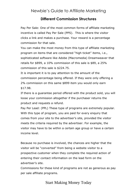### **Different Commission Structures**

<span id="page-24-0"></span>Pay Per Sale: One of the most common forms of affiliate marketing incentive is called Pay Per Sale (PPS). This is where the visitor clicks a link and makes a purchase. Your reward is a percentage commission for that sale.

You can make the most money from this type of affiliate marketing program on items that are considered "high ticket" items, i.e., sophisticated software like Adobe (Macromedia) Dreamweaver that retails for \$899, a 10% commission of this sale is \$89, a 25% commission of this sale is \$224.75.

It is important it is to pay attention to the amount of the commission percentage being offered. If they were only offering a 2% commission on this same \$899 item you would only earn \$17.98.

If there is a guarantee period offered with the product sold, you will loose your commission altogether if the purchaser returns the product and requests a refund.

Pay Per Lead: (PPL) These type of programs are extremely popular. With this type of program, you are paid for every enquiry that comes from your site to the advertiser's site, provided the visitor meets the criteria required by the advertiser. For example, the visitor may have to be within a certain age group or have a certain income level.

Because no purchase is involved, the chances are higher that the visitor will be "converted" from being a website visitor to a prospective customer when they complete the required action of entering their contact information on the lead form on the advertiser's site.

Commissions for these kind of programs are not as generous as pay per sale affiliate programs.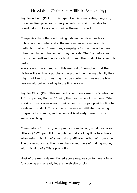Pay Per Action: (PPA) In this type of affiliate marketing program, the advertiser pays you when your referred visitor decides to download a trial version of their software or report.

Companies that offer electronic goods and services, such as publishers, computer and software companies dominate this particular market. Sometimes, campaigns for pay per action are often used in combination with pay per sale. The "try before you buy" option entices the visitor to download the product for a set trial period.

You are not guaranteed with this method of promotion that the visitor will eventually purchase the product, as having tried it, they might not like it, or they may just be content with using the trial version without upgrading to the Pro version.

Pay Per Click: (PPC) This method is commonly used by "contextual Ad" companies, Kontera<sup>tm</sup> being the most widely known one. When a visitor hovers over a word their advert box pops up with a link to a relevant product. This is one of the easiest affiliate marketing programs to promote, as the content is already there on your website or blog.

Commissions for this type of program can be very small, some as little as \$0.02c per click, payouts can take a long time to achieve when using this kind of advertising / affiliate method of promotion. The busier your site, the more chance you have of making money with this kind of affiliate promotion.

Most of the methods mentioned above require you to have a fully functioning and already indexed web site or blog.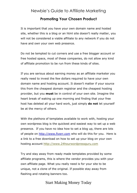### **Promoting Your Chosen Product**

<span id="page-26-0"></span>It is important that you have your own domain name and hosted site, whether this is a blog or an html site doesn't really matter, you will not be considered a viable affiliate to any network if you do not have and own your own web presence.

Do not be tempted to cut corners and use a free blogger account or free hosted space, most of these companies, do not allow any kind of affiliate promotion to be run from these kinds of sites.

If you are serious about earning money as an affiliate marketer you really need to invest the few dollars required to have your own domain name and hosting account. It doesn't matter if your source this from the cheapest domain registrar and the cheapest hosting provider, but you **must** be in control of your own site. Imagine the heart break of waking up one morning and finding that your free host has deleted all your hard work, just simply **do not** let yourself be at the mercy of others.

With the plethora of templates available to work with, hosting your own wordpress blog is the quickest and easiest way to set up a web presence. If you have no idea how to set a blog up, there are lots of people on [http://www.fiverr.com](http://www.fiverr.com/) who will do this for you. Here is a link to a free download on how to set up your blog on your own hosting account [http://www.24hourwordpressguru.com](http://www.24hourwordpressguru.com/)

Try and stay away from ready made templates provided by some affiliate programs, this is where the vendor provides you with your own affiliate page. What you really need is for your site to be unique, not a clone of the original. If possible stay away from flashing and rotating banners too.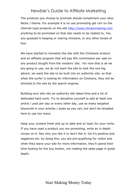The products you choose to promote should compliment your sites Niche / theme. For example it is no use promoting get rich on the internet type products on the site [http://www.chickenrearing.com](http://www.chickenrearing.com/) anything to be promoted on that site needs to be related to, Yes, you guessed it keeping or rearing chickens, or any other breed of foul.

We have started to monetize the site with the Clickbank product and an affiliate program that will pay 8% commission per sale on any product bought from the vendors' site. For now that is all we are going to use, we do not want the site to look like one big advert, we want the site to be built into an authority site, so that when the surfer is looking for information on Chickens, they will be directed to the site by the search engines.

Building your site into an authority site takes time and a lot of dedicated hard work. Try to discipline yourself to add at least one article / post per day or every other day, use as many targeted keywords in your articles / posts as you can, but don't be tempted here to use too many.

Keep your content fresh and up to date and on topic for your niche. If you have used a product you are promoting, write an in depth review on it. Say why you like it or don't like it, list it's positive and negatives etc. by doing this, you are pre-qualifying for visitor and when they leave your site for more information, they'll spend their time looking for the buy button, not reading the sales page in great depth.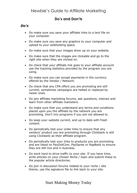## **Do's and Don'ts**

### <span id="page-28-1"></span><span id="page-28-0"></span>*Do's*

- Do make sure you save your affiliate links to a text file on your computer.
- Do make sure you save any graphics to your computer and upload to your webhosting space.
- Do make sure that your images show up on your website.
- Do make sure that the images are clickable and go to the right site when they are clicked on.
- Do check that your affiliate link goes to your affiliate account use the tracking statistics provided by the program you are using.
- Do make sure you can accept payments in the currency offered by the Vendor / Network.
- Do check that any CPA offers you are promoting are still current; sometimes campaigns are halted or replaced by newer ones.
- Do join affiliate marketing forums, ask questions, interact and learn from other affiliate marketers.
- Do make sure that you understand any terms and conditions placed upon you the affiliate by the network you are promoting. Don't mix programs if you are not allowed to.
- Do keep your website current, and up to date with fresh content.
- Do periodically test your order links to ensure that any vendors' product you are promoting through Clickbank is still using Clickbank as their affiliate program.
- Do periodically test your links to products you are promoting and are listed on PayDotCom, PaySpree or RapBank to ensure they are still live and in business.
- Do work hard to drive traffic to your site. If you have time, write articles on your chosen Niche / topic and submit these to the popular article directories.
- Do join in discussion forums related to your niche / site theme, use the signature file to link back to your site.